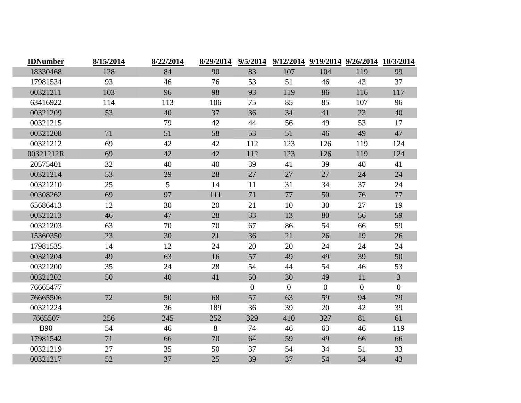| <b>IDNumber</b> | 8/15/2014 | 8/22/2014 | 8/29/2014 | 9/5/2014     |                |                | 9/12/2014 9/19/2014 9/26/2014 10/3/2014 |                |
|-----------------|-----------|-----------|-----------|--------------|----------------|----------------|-----------------------------------------|----------------|
| 18330468        | 128       | 84        | 90        | 83           | 107            | 104            | 119                                     | 99             |
| 17981534        | 93        | 46        | 76        | 53           | 51             | 46             | 43                                      | 37             |
| 00321211        | 103       | 96        | 98        | 93           | 119            | 86             | 116                                     | 117            |
| 63416922        | 114       | 113       | 106       | 75           | 85             | 85             | 107                                     | 96             |
| 00321209        | 53        | 40        | 37        | 36           | 34             | 41             | 23                                      | 40             |
| 00321215        |           | 79        | 42        | 44           | 56             | 49             | 53                                      | 17             |
| 00321208        | 71        | 51        | 58        | 53           | 51             | 46             | 49                                      | 47             |
| 00321212        | 69        | 42        | 42        | 112          | 123            | 126            | 119                                     | 124            |
| 00321212R       | 69        | 42        | 42        | 112          | 123            | 126            | 119                                     | 124            |
| 20575401        | 32        | 40        | 40        | 39           | 41             | 39             | 40                                      | 41             |
| 00321214        | 53        | 29        | 28        | 27           | 27             | 27             | 24                                      | 24             |
| 00321210        | 25        | 5         | 14        | 11           | 31             | 34             | 37                                      | 24             |
| 00308262        | 69        | 97        | 111       | 71           | 77             | 50             | 76                                      | 77             |
| 65686413        | 12        | 30        | 20        | 21           | 10             | 30             | 27                                      | 19             |
| 00321213        | 46        | 47        | 28        | 33           | 13             | 80             | 56                                      | 59             |
| 00321203        | 63        | 70        | 70        | 67           | 86             | 54             | 66                                      | 59             |
| 15360350        | 23        | 30        | 21        | 36           | 21             | 26             | 19                                      | 26             |
| 17981535        | 14        | 12        | 24        | 20           | 20             | 24             | 24                                      | 24             |
| 00321204        | 49        | 63        | 16        | 57           | 49             | 49             | 39                                      | 50             |
| 00321200        | 35        | 24        | 28        | 54           | 44             | 54             | 46                                      | 53             |
| 00321202        | 50        | 40        | 41        | 50           | 30             | 49             | 11                                      | $\overline{3}$ |
| 76665477        |           |           |           | $\mathbf{0}$ | $\overline{0}$ | $\overline{0}$ | $\overline{0}$                          | $\overline{0}$ |
| 76665506        | 72        | 50        | 68        | 57           | 63             | 59             | 94                                      | 79             |
| 00321224        |           | 36        | 189       | 36           | 39             | 20             | 42                                      | 39             |
| 7665507         | 256       | 245       | 252       | 329          | 410            | 327            | 81                                      | 61             |
| <b>B90</b>      | 54        | 46        | 8         | 74           | 46             | 63             | 46                                      | 119            |
| 17981542        | 71        | 66        | 70        | 64           | 59             | 49             | 66                                      | 66             |
| 00321219        | 27        | 35        | 50        | 37           | 54             | 34             | 51                                      | 33             |
| 00321217        | 52        | 37        | 25        | 39           | 37             | 54             | 34                                      | 43             |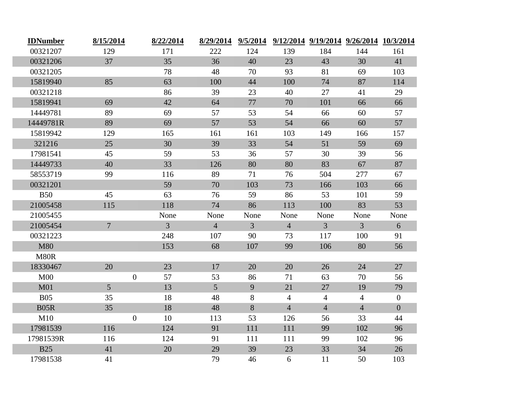| <b>IDNumber</b> | 8/15/2014        | 8/22/2014      | 8/29/2014       | 9/5/2014       |                |                | 9/12/2014 9/19/2014 9/26/2014 10/3/2014 |                |
|-----------------|------------------|----------------|-----------------|----------------|----------------|----------------|-----------------------------------------|----------------|
| 00321207        | 129              | 171            | 222             | 124            | 139            | 184            | 144                                     | 161            |
| 00321206        | 37               | 35             | 36              | 40             | 23             | 43             | 30                                      | 41             |
| 00321205        |                  | 78             | 48              | 70             | 93             | 81             | 69                                      | 103            |
| 15819940        | 85               | 63             | 100             | 44             | 100            | 74             | 87                                      | 114            |
| 00321218        |                  | 86             | 39              | 23             | 40             | 27             | 41                                      | 29             |
| 15819941        | 69               | 42             | 64              | 77             | 70             | 101            | 66                                      | 66             |
| 14449781        | 89               | 69             | 57              | 53             | 54             | 66             | 60                                      | 57             |
| 14449781R       | 89               | 69             | 57              | 53             | 54             | 66             | 60                                      | 57             |
| 15819942        | 129              | 165            | 161             | 161            | 103            | 149            | 166                                     | 157            |
| 321216          | 25               | 30             | 39              | 33             | 54             | 51             | 59                                      | 69             |
| 17981541        | 45               | 59             | 53              | 36             | 57             | 30             | 39                                      | 56             |
| 14449733        | 40               | 33             | 126             | 80             | 80             | 83             | 67                                      | 87             |
| 58553719        | 99               | 116            | 89              | 71             | 76             | 504            | 277                                     | 67             |
| 00321201        |                  | 59             | 70              | 103            | 73             | 166            | 103                                     | 66             |
| <b>B50</b>      | 45               | 63             | 76              | 59             | 86             | 53             | 101                                     | 59             |
| 21005458        | 115              | 118            | 74              | 86             | 113            | 100            | 83                                      | 53             |
| 21005455        |                  | None           | None            | None           | None           | None           | None                                    | None           |
| 21005454        | $7^{\circ}$      | $\overline{3}$ | $\overline{4}$  | $\overline{3}$ | $\overline{4}$ | $\overline{3}$ | $\overline{3}$                          | 6              |
| 00321223        |                  | 248            | 107             | 90             | 73             | 117            | 100                                     | 91             |
| <b>M80</b>      |                  | 153            | 68              | 107            | 99             | 106            | 80                                      | 56             |
| <b>M80R</b>     |                  |                |                 |                |                |                |                                         |                |
| 18330467        | 20               | 23             | 17              | 20             | 20             | 26             | 24                                      | 27             |
| M <sub>00</sub> | $\boldsymbol{0}$ | 57             | 53              | 86             | 71             | 63             | 70                                      | 56             |
| M <sub>01</sub> | 5 <sup>5</sup>   | 13             | $5\overline{)}$ | 9              | 21             | 27             | 19                                      | 79             |
| <b>B05</b>      | 35               | 18             | 48              | 8              | $\overline{4}$ | $\overline{4}$ | $\overline{4}$                          | $\overline{0}$ |
| <b>B05R</b>     | 35               | 18             | 48              | $\, 8$         | $\overline{4}$ | $\overline{4}$ | $\overline{4}$                          | $\overline{0}$ |
| M10             | $\overline{0}$   | 10             | 113             | 53             | 126            | 56             | 33                                      | 44             |
| 17981539        | 116              | 124            | 91              | 111            | 111            | 99             | 102                                     | 96             |
| 17981539R       | 116              | 124            | 91              | 111            | 111            | 99             | 102                                     | 96             |
| <b>B25</b>      | 41               | 20             | 29              | 39             | 23             | 33             | 34                                      | 26             |
| 17981538        | 41               |                | 79              | 46             | 6              | 11             | 50                                      | 103            |